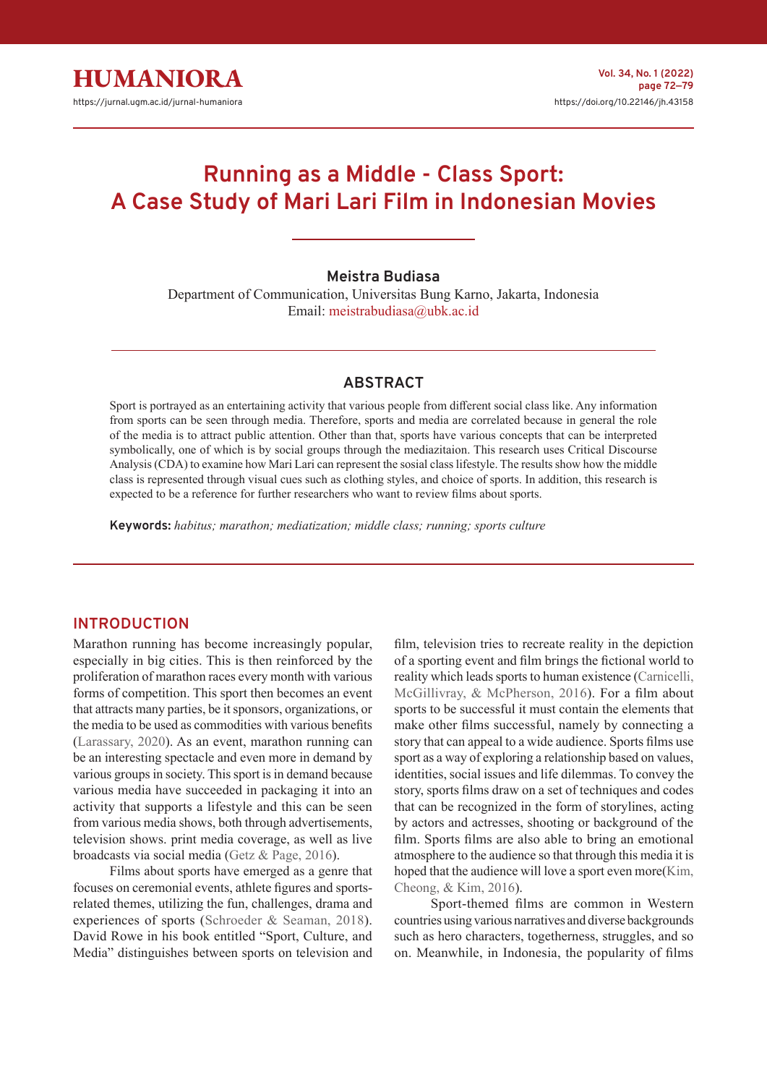# **Running as a Middle - Class Sport: A Case Study of Mari Lari Film in Indonesian Movies**

#### **Meistra Budiasa**

Department of Communication, Universitas Bung Karno, Jakarta, Indonesia Email: meistrabudiasa@ubk.ac.id

## **ABSTRACT**

Sport is portrayed as an entertaining activity that various people from different social class like. Any information from sports can be seen through media. Therefore, sports and media are correlated because in general the role of the media is to attract public attention. Other than that, sports have various concepts that can be interpreted symbolically, one of which is by social groups through the mediazitaion. This research uses Critical Discourse Analysis (CDA) to examine how Mari Lari can represent the sosial class lifestyle. The results show how the middle class is represented through visual cues such as clothing styles, and choice of sports. In addition, this research is expected to be a reference for further researchers who want to review films about sports.

**Keywords:** *habitus; marathon; mediatization; middle class; running; sports culture*

#### **INTRODUCTION**

Marathon running has become increasingly popular, especially in big cities. This is then reinforced by the proliferation of marathon races every month with various forms of competition. This sport then becomes an event that attracts many parties, be it sponsors, organizations, or the media to be used as commodities with various benefits (Larassary, 2020). As an event, marathon running can be an interesting spectacle and even more in demand by various groups in society. This sport is in demand because various media have succeeded in packaging it into an activity that supports a lifestyle and this can be seen from various media shows, both through advertisements, television shows. print media coverage, as well as live broadcasts via social media (Getz & Page, 2016).

Films about sports have emerged as a genre that focuses on ceremonial events, athlete figures and sportsrelated themes, utilizing the fun, challenges, drama and experiences of sports (Schroeder & Seaman, 2018). David Rowe in his book entitled "Sport, Culture, and Media" distinguishes between sports on television and

film, television tries to recreate reality in the depiction of a sporting event and film brings the fictional world to reality which leads sports to human existence (Carnicelli, McGillivray, & McPherson, 2016). For a film about sports to be successful it must contain the elements that make other films successful, namely by connecting a story that can appeal to a wide audience. Sports films use sport as a way of exploring a relationship based on values, identities, social issues and life dilemmas. To convey the story, sports films draw on a set of techniques and codes that can be recognized in the form of storylines, acting by actors and actresses, shooting or background of the film. Sports films are also able to bring an emotional atmosphere to the audience so that through this media it is hoped that the audience will love a sport even more(Kim, Cheong, & Kim, 2016).

Sport-themed films are common in Western countries using various narratives and diverse backgrounds such as hero characters, togetherness, struggles, and so on. Meanwhile, in Indonesia, the popularity of films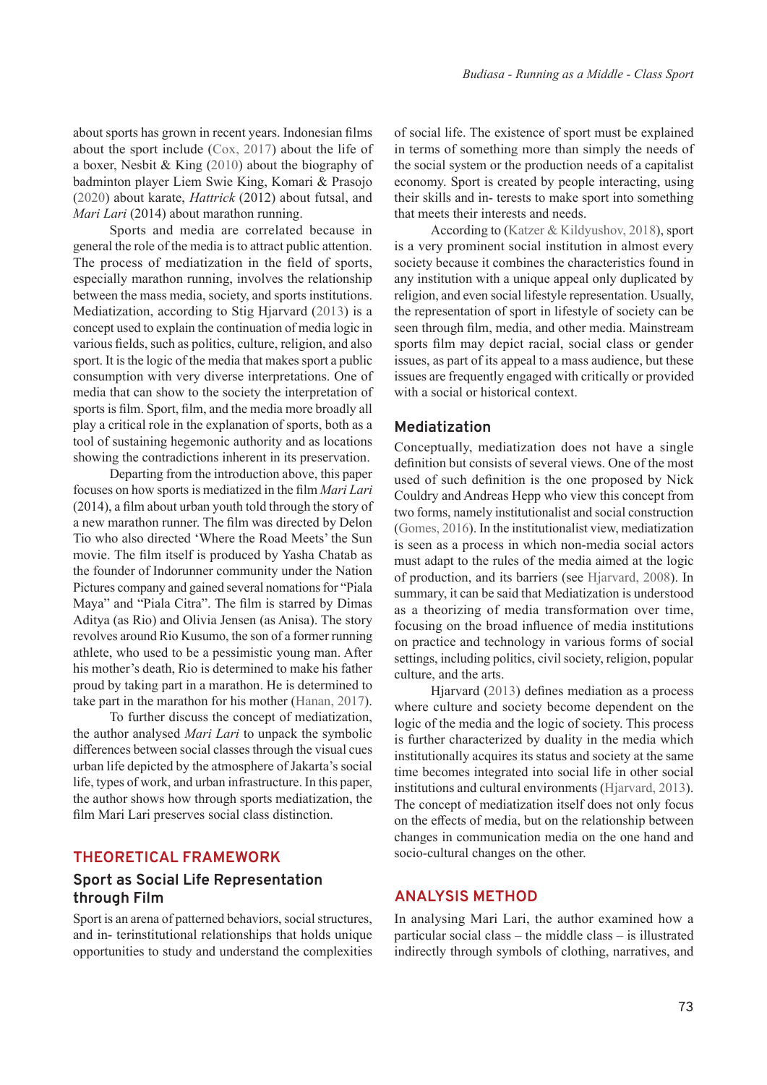about sports has grown in recent years. Indonesian films about the sport include (Cox, 2017) about the life of a boxer, Nesbit & King (2010) about the biography of badminton player Liem Swie King, Komari & Prasojo (2020) about karate, *Hattrick* (2012) about futsal, and *Mari Lari* (2014) about marathon running.

Sports and media are correlated because in general the role of the media is to attract public attention. The process of mediatization in the field of sports, especially marathon running, involves the relationship between the mass media, society, and sports institutions. Mediatization, according to Stig Hjarvard (2013) is a concept used to explain the continuation of media logic in various fields, such as politics, culture, religion, and also sport. It is the logic of the media that makes sport a public consumption with very diverse interpretations. One of media that can show to the society the interpretation of sports is film. Sport, film, and the media more broadly all play a critical role in the explanation of sports, both as a tool of sustaining hegemonic authority and as locations showing the contradictions inherent in its preservation.

Departing from the introduction above, this paper focuses on how sports is mediatized in the film *Mari Lari*  (2014), a film about urban youth told through the story of a new marathon runner. The film was directed by Delon Tio who also directed 'Where the Road Meets' the Sun movie. The film itself is produced by Yasha Chatab as the founder of Indorunner community under the Nation Pictures company and gained several nomations for "Piala Maya" and "Piala Citra". The film is starred by Dimas Aditya (as Rio) and Olivia Jensen (as Anisa). The story revolves around Rio Kusumo, the son of a former running athlete, who used to be a pessimistic young man. After his mother's death, Rio is determined to make his father proud by taking part in a marathon. He is determined to take part in the marathon for his mother (Hanan, 2017).

To further discuss the concept of mediatization, the author analysed *Mari Lari* to unpack the symbolic differences between social classes through the visual cues urban life depicted by the atmosphere of Jakarta's social life, types of work, and urban infrastructure. In this paper, the author shows how through sports mediatization, the film Mari Lari preserves social class distinction.

#### **THEORETICAL FRAMEWORK**

## **Sport as Social Life Representation through Film**

Sport is an arena of patterned behaviors, social structures, and in- terinstitutional relationships that holds unique opportunities to study and understand the complexities of social life. The existence of sport must be explained in terms of something more than simply the needs of the social system or the production needs of a capitalist economy. Sport is created by people interacting, using their skills and in- terests to make sport into something that meets their interests and needs.

According to (Katzer & Kildyushov, 2018), sport is a very prominent social institution in almost every society because it combines the characteristics found in any institution with a unique appeal only duplicated by religion, and even social lifestyle representation. Usually, the representation of sport in lifestyle of society can be seen through film, media, and other media. Mainstream sports film may depict racial, social class or gender issues, as part of its appeal to a mass audience, but these issues are frequently engaged with critically or provided with a social or historical context.

#### **Mediatization**

Conceptually, mediatization does not have a single definition but consists of several views. One of the most used of such definition is the one proposed by Nick Couldry and Andreas Hepp who view this concept from two forms, namely institutionalist and social construction (Gomes, 2016). In the institutionalist view, mediatization is seen as a process in which non-media social actors must adapt to the rules of the media aimed at the logic of production, and its barriers (see Hjarvard, 2008). In summary, it can be said that Mediatization is understood as a theorizing of media transformation over time, focusing on the broad influence of media institutions on practice and technology in various forms of social settings, including politics, civil society, religion, popular culture, and the arts.

Hjarvard (2013) defines mediation as a process where culture and society become dependent on the logic of the media and the logic of society. This process is further characterized by duality in the media which institutionally acquires its status and society at the same time becomes integrated into social life in other social institutions and cultural environments (Hjarvard, 2013). The concept of mediatization itself does not only focus on the effects of media, but on the relationship between changes in communication media on the one hand and socio-cultural changes on the other.

## **ANALYSIS METHOD**

In analysing Mari Lari, the author examined how a particular social class – the middle class – is illustrated indirectly through symbols of clothing, narratives, and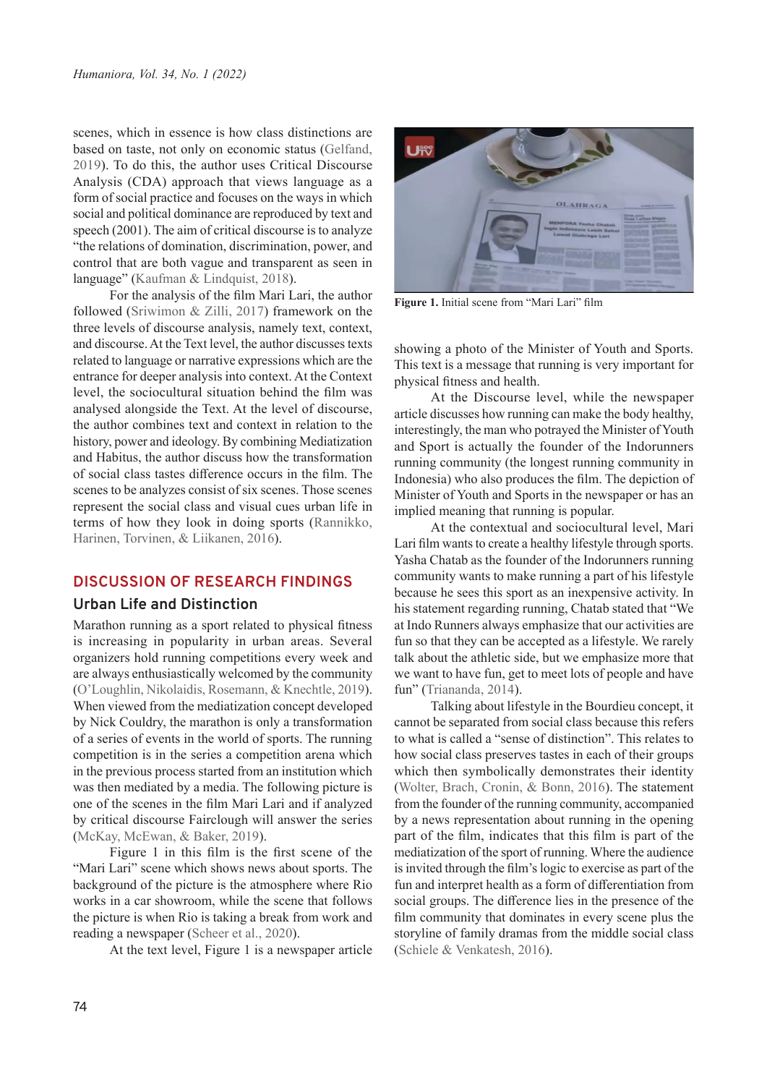scenes, which in essence is how class distinctions are based on taste, not only on economic status (Gelfand, 2019). To do this, the author uses Critical Discourse Analysis (CDA) approach that views language as a form of social practice and focuses on the ways in which social and political dominance are reproduced by text and speech (2001). The aim of critical discourse is to analyze "the relations of domination, discrimination, power, and control that are both vague and transparent as seen in language" (Kaufman & Lindquist, 2018).

For the analysis of the film Mari Lari, the author followed (Sriwimon & Zilli, 2017) framework on the three levels of discourse analysis, namely text, context, and discourse. At the Text level, the author discusses texts related to language or narrative expressions which are the entrance for deeper analysis into context. At the Context level, the sociocultural situation behind the film was analysed alongside the Text. At the level of discourse, the author combines text and context in relation to the history, power and ideology. By combining Mediatization and Habitus, the author discuss how the transformation of social class tastes difference occurs in the film. The scenes to be analyzes consist of six scenes. Those scenes represent the social class and visual cues urban life in terms of how they look in doing sports (Rannikko, Harinen, Torvinen, & Liikanen, 2016).

## **DISCUSSION OF RESEARCH FINDINGS**

## **Urban Life and Distinction**

Marathon running as a sport related to physical fitness is increasing in popularity in urban areas. Several organizers hold running competitions every week and are always enthusiastically welcomed by the community (O'Loughlin, Nikolaidis, Rosemann, & Knechtle, 2019). When viewed from the mediatization concept developed by Nick Couldry, the marathon is only a transformation of a series of events in the world of sports. The running competition is in the series a competition arena which in the previous process started from an institution which was then mediated by a media. The following picture is one of the scenes in the film Mari Lari and if analyzed by critical discourse Fairclough will answer the series (McKay, McEwan, & Baker, 2019).

Figure 1 in this film is the first scene of the "Mari Lari" scene which shows news about sports. The background of the picture is the atmosphere where Rio works in a car showroom, while the scene that follows the picture is when Rio is taking a break from work and reading a newspaper (Scheer et al., 2020).

At the text level, Figure 1 is a newspaper article



**Figure 1.** Initial scene from "Mari Lari" film

showing a photo of the Minister of Youth and Sports. This text is a message that running is very important for physical fitness and health.

At the Discourse level, while the newspaper article discusses how running can make the body healthy, interestingly, the man who potrayed the Minister of Youth and Sport is actually the founder of the Indorunners running community (the longest running community in Indonesia) who also produces the film. The depiction of Minister of Youth and Sports in the newspaper or has an implied meaning that running is popular.

At the contextual and sociocultural level, Mari Lari film wants to create a healthy lifestyle through sports. Yasha Chatab as the founder of the Indorunners running community wants to make running a part of his lifestyle because he sees this sport as an inexpensive activity. In his statement regarding running, Chatab stated that "We at Indo Runners always emphasize that our activities are fun so that they can be accepted as a lifestyle. We rarely talk about the athletic side, but we emphasize more that we want to have fun, get to meet lots of people and have fun" (Triananda, 2014).

Talking about lifestyle in the Bourdieu concept, it cannot be separated from social class because this refers to what is called a "sense of distinction". This relates to how social class preserves tastes in each of their groups which then symbolically demonstrates their identity (Wolter, Brach, Cronin, & Bonn, 2016). The statement from the founder of the running community, accompanied by a news representation about running in the opening part of the film, indicates that this film is part of the mediatization of the sport of running. Where the audience is invited through the film's logic to exercise as part of the fun and interpret health as a form of differentiation from social groups. The difference lies in the presence of the film community that dominates in every scene plus the storyline of family dramas from the middle social class (Schiele & Venkatesh, 2016).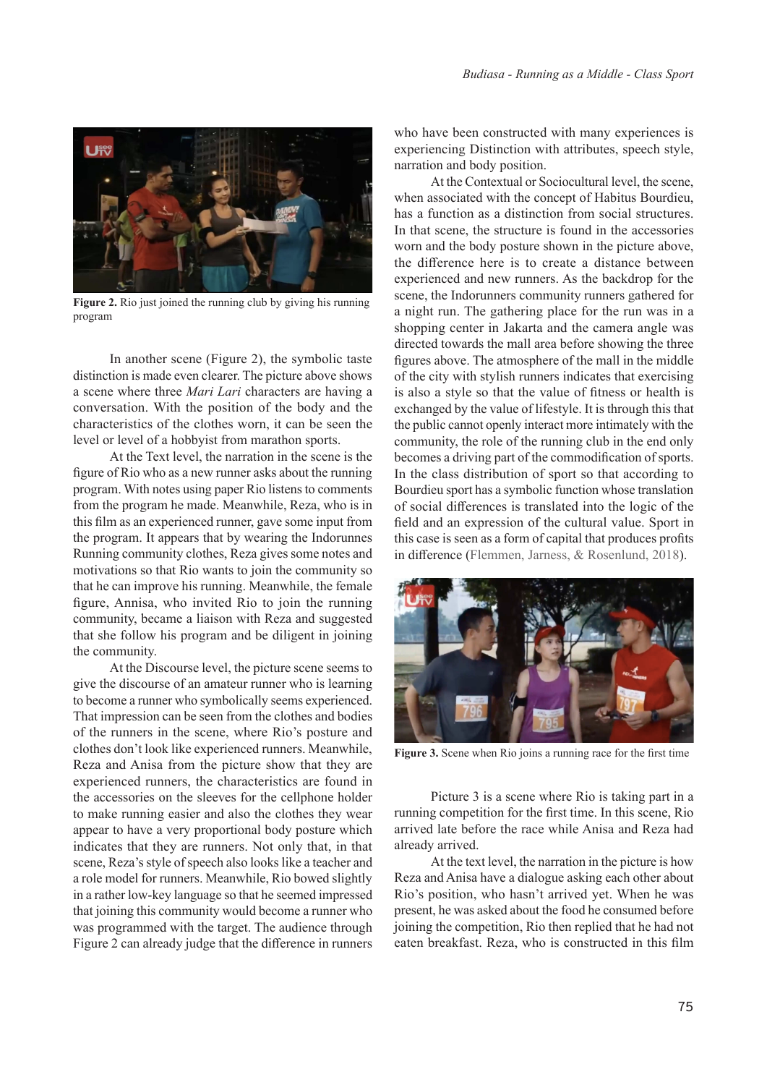

**Figure 2.** Rio just joined the running club by giving his running program

In another scene (Figure 2), the symbolic taste distinction is made even clearer. The picture above shows a scene where three *Mari Lari* characters are having a conversation. With the position of the body and the characteristics of the clothes worn, it can be seen the level or level of a hobbyist from marathon sports.

At the Text level, the narration in the scene is the figure of Rio who as a new runner asks about the running program. With notes using paper Rio listens to comments from the program he made. Meanwhile, Reza, who is in this film as an experienced runner, gave some input from the program. It appears that by wearing the Indorunnes Running community clothes, Reza gives some notes and motivations so that Rio wants to join the community so that he can improve his running. Meanwhile, the female figure, Annisa, who invited Rio to join the running community, became a liaison with Reza and suggested that she follow his program and be diligent in joining the community.

At the Discourse level, the picture scene seems to give the discourse of an amateur runner who is learning to become a runner who symbolically seems experienced. That impression can be seen from the clothes and bodies of the runners in the scene, where Rio's posture and clothes don't look like experienced runners. Meanwhile, Reza and Anisa from the picture show that they are experienced runners, the characteristics are found in the accessories on the sleeves for the cellphone holder to make running easier and also the clothes they wear appear to have a very proportional body posture which indicates that they are runners. Not only that, in that scene, Reza's style of speech also looks like a teacher and a role model for runners. Meanwhile, Rio bowed slightly in a rather low-key language so that he seemed impressed that joining this community would become a runner who was programmed with the target. The audience through Figure 2 can already judge that the difference in runners

who have been constructed with many experiences is experiencing Distinction with attributes, speech style, narration and body position.

At the Contextual or Sociocultural level, the scene, when associated with the concept of Habitus Bourdieu, has a function as a distinction from social structures. In that scene, the structure is found in the accessories worn and the body posture shown in the picture above, the difference here is to create a distance between experienced and new runners. As the backdrop for the scene, the Indorunners community runners gathered for a night run. The gathering place for the run was in a shopping center in Jakarta and the camera angle was directed towards the mall area before showing the three figures above. The atmosphere of the mall in the middle of the city with stylish runners indicates that exercising is also a style so that the value of fitness or health is exchanged by the value of lifestyle. It is through this that the public cannot openly interact more intimately with the community, the role of the running club in the end only becomes a driving part of the commodification of sports. In the class distribution of sport so that according to Bourdieu sport has a symbolic function whose translation of social differences is translated into the logic of the field and an expression of the cultural value. Sport in this case is seen as a form of capital that produces profits in difference (Flemmen, Jarness, & Rosenlund, 2018).



**Figure 3.** Scene when Rio joins a running race for the first time

Picture 3 is a scene where Rio is taking part in a running competition for the first time. In this scene, Rio arrived late before the race while Anisa and Reza had already arrived.

At the text level, the narration in the picture is how Reza and Anisa have a dialogue asking each other about Rio's position, who hasn't arrived yet. When he was present, he was asked about the food he consumed before joining the competition, Rio then replied that he had not eaten breakfast. Reza, who is constructed in this film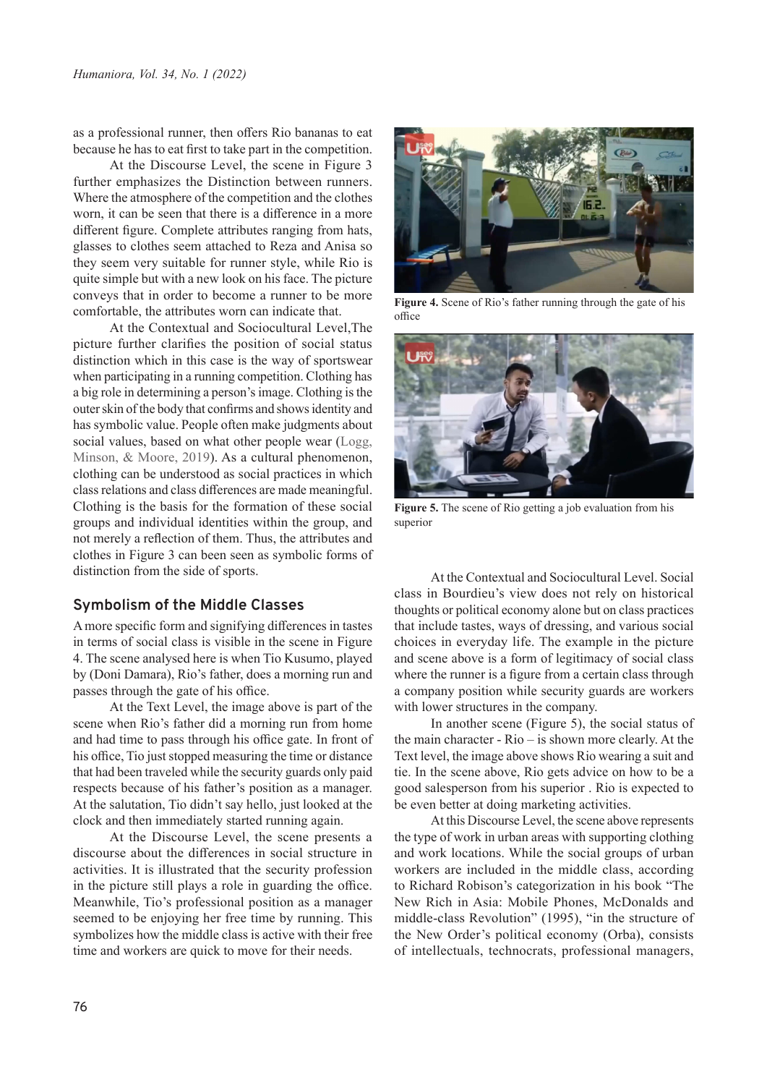as a professional runner, then offers Rio bananas to eat because he has to eat first to take part in the competition.

At the Discourse Level, the scene in Figure 3 further emphasizes the Distinction between runners. Where the atmosphere of the competition and the clothes worn, it can be seen that there is a difference in a more different figure. Complete attributes ranging from hats, glasses to clothes seem attached to Reza and Anisa so they seem very suitable for runner style, while Rio is quite simple but with a new look on his face. The picture conveys that in order to become a runner to be more comfortable, the attributes worn can indicate that.

At the Contextual and Sociocultural Level,The picture further clarifies the position of social status distinction which in this case is the way of sportswear when participating in a running competition. Clothing has a big role in determining a person's image. Clothing is the outer skin of the body that confirms and shows identity and has symbolic value. People often make judgments about social values, based on what other people wear (Logg, Minson, & Moore, 2019). As a cultural phenomenon, clothing can be understood as social practices in which class relations and class differences are made meaningful. Clothing is the basis for the formation of these social groups and individual identities within the group, and not merely a reflection of them. Thus, the attributes and clothes in Figure 3 can been seen as symbolic forms of distinction from the side of sports.

## **Symbolism of the Middle Classes**

A more specific form and signifying differences in tastes in terms of social class is visible in the scene in Figure 4. The scene analysed here is when Tio Kusumo, played by (Doni Damara), Rio's father, does a morning run and passes through the gate of his office.

At the Text Level, the image above is part of the scene when Rio's father did a morning run from home and had time to pass through his office gate. In front of his office, Tio just stopped measuring the time or distance that had been traveled while the security guards only paid respects because of his father's position as a manager. At the salutation, Tio didn't say hello, just looked at the clock and then immediately started running again.

At the Discourse Level, the scene presents a discourse about the differences in social structure in activities. It is illustrated that the security profession in the picture still plays a role in guarding the office. Meanwhile, Tio's professional position as a manager seemed to be enjoying her free time by running. This symbolizes how the middle class is active with their free time and workers are quick to move for their needs.



**Figure 4.** Scene of Rio's father running through the gate of his office



**Figure 5.** The scene of Rio getting a job evaluation from his superior

At the Contextual and Sociocultural Level. Social class in Bourdieu's view does not rely on historical thoughts or political economy alone but on class practices that include tastes, ways of dressing, and various social choices in everyday life. The example in the picture and scene above is a form of legitimacy of social class where the runner is a figure from a certain class through a company position while security guards are workers with lower structures in the company.

In another scene (Figure 5), the social status of the main character - Rio – is shown more clearly. At the Text level, the image above shows Rio wearing a suit and tie. In the scene above, Rio gets advice on how to be a good salesperson from his superior . Rio is expected to be even better at doing marketing activities.

At this Discourse Level, the scene above represents the type of work in urban areas with supporting clothing and work locations. While the social groups of urban workers are included in the middle class, according to Richard Robison's categorization in his book "The New Rich in Asia: Mobile Phones, McDonalds and middle-class Revolution" (1995), "in the structure of the New Order's political economy (Orba), consists of intellectuals, technocrats, professional managers,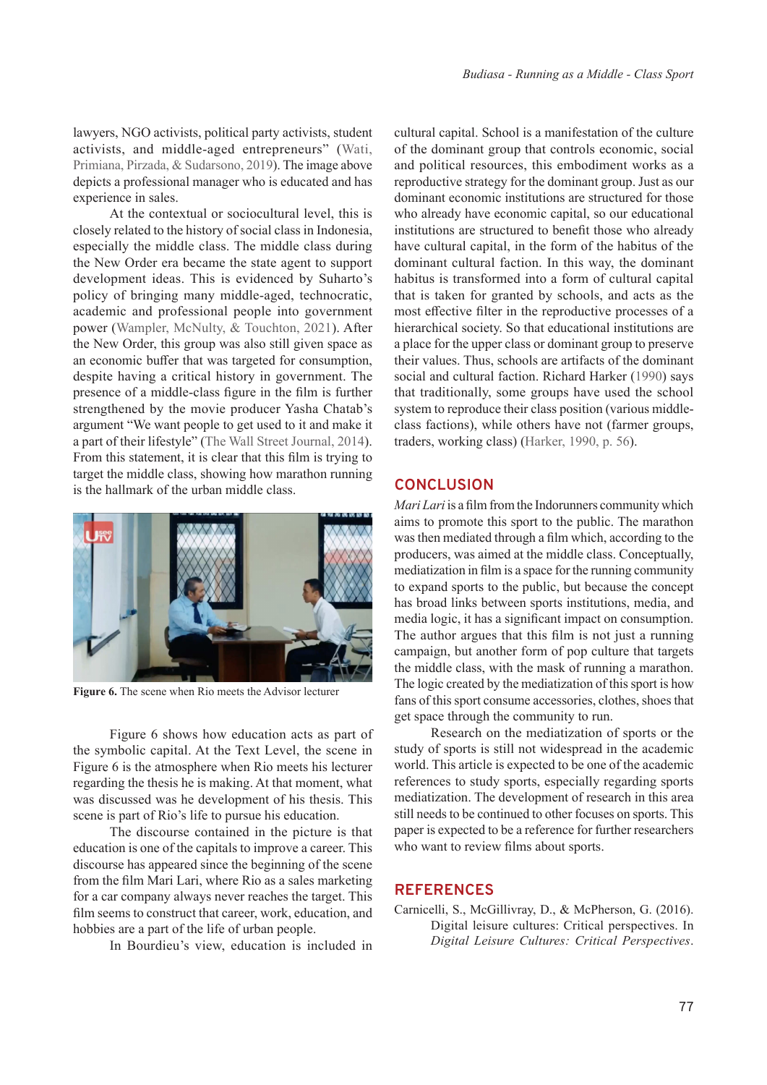lawyers, NGO activists, political party activists, student activists, and middle-aged entrepreneurs" (Wati, Primiana, Pirzada, & Sudarsono, 2019). The image above depicts a professional manager who is educated and has experience in sales.

At the contextual or sociocultural level, this is closely related to the history of social class in Indonesia, especially the middle class. The middle class during the New Order era became the state agent to support development ideas. This is evidenced by Suharto's policy of bringing many middle-aged, technocratic, academic and professional people into government power (Wampler, McNulty, & Touchton, 2021). After the New Order, this group was also still given space as an economic buffer that was targeted for consumption, despite having a critical history in government. The presence of a middle-class figure in the film is further strengthened by the movie producer Yasha Chatab's argument "We want people to get used to it and make it a part of their lifestyle" (The Wall Street Journal, 2014). From this statement, it is clear that this film is trying to target the middle class, showing how marathon running is the hallmark of the urban middle class.



**Figure 6.** The scene when Rio meets the Advisor lecturer

Figure 6 shows how education acts as part of the symbolic capital. At the Text Level, the scene in Figure 6 is the atmosphere when Rio meets his lecturer regarding the thesis he is making. At that moment, what was discussed was he development of his thesis. This scene is part of Rio's life to pursue his education.

The discourse contained in the picture is that education is one of the capitals to improve a career. This discourse has appeared since the beginning of the scene from the film Mari Lari, where Rio as a sales marketing for a car company always never reaches the target. This film seems to construct that career, work, education, and hobbies are a part of the life of urban people.

In Bourdieu's view, education is included in

cultural capital. School is a manifestation of the culture of the dominant group that controls economic, social and political resources, this embodiment works as a reproductive strategy for the dominant group. Just as our dominant economic institutions are structured for those who already have economic capital, so our educational institutions are structured to benefit those who already have cultural capital, in the form of the habitus of the dominant cultural faction. In this way, the dominant habitus is transformed into a form of cultural capital that is taken for granted by schools, and acts as the most effective filter in the reproductive processes of a hierarchical society. So that educational institutions are a place for the upper class or dominant group to preserve their values. Thus, schools are artifacts of the dominant social and cultural faction. Richard Harker (1990) says that traditionally, some groups have used the school system to reproduce their class position (various middleclass factions), while others have not (farmer groups, traders, working class) (Harker, 1990, p. 56).

#### **CONCLUSION**

*Mari Lari* is a film from the Indorunners community which aims to promote this sport to the public. The marathon was then mediated through a film which, according to the producers, was aimed at the middle class. Conceptually, mediatization in film is a space for the running community to expand sports to the public, but because the concept has broad links between sports institutions, media, and media logic, it has a significant impact on consumption. The author argues that this film is not just a running campaign, but another form of pop culture that targets the middle class, with the mask of running a marathon. The logic created by the mediatization of this sport is how fans of this sport consume accessories, clothes, shoes that get space through the community to run.

Research on the mediatization of sports or the study of sports is still not widespread in the academic world. This article is expected to be one of the academic references to study sports, especially regarding sports mediatization. The development of research in this area still needs to be continued to other focuses on sports. This paper is expected to be a reference for further researchers who want to review films about sports.

#### **REFERENCES**

Carnicelli, S., McGillivray, D., & McPherson, G. (2016). Digital leisure cultures: Critical perspectives. In *Digital Leisure Cultures: Critical Perspectives*.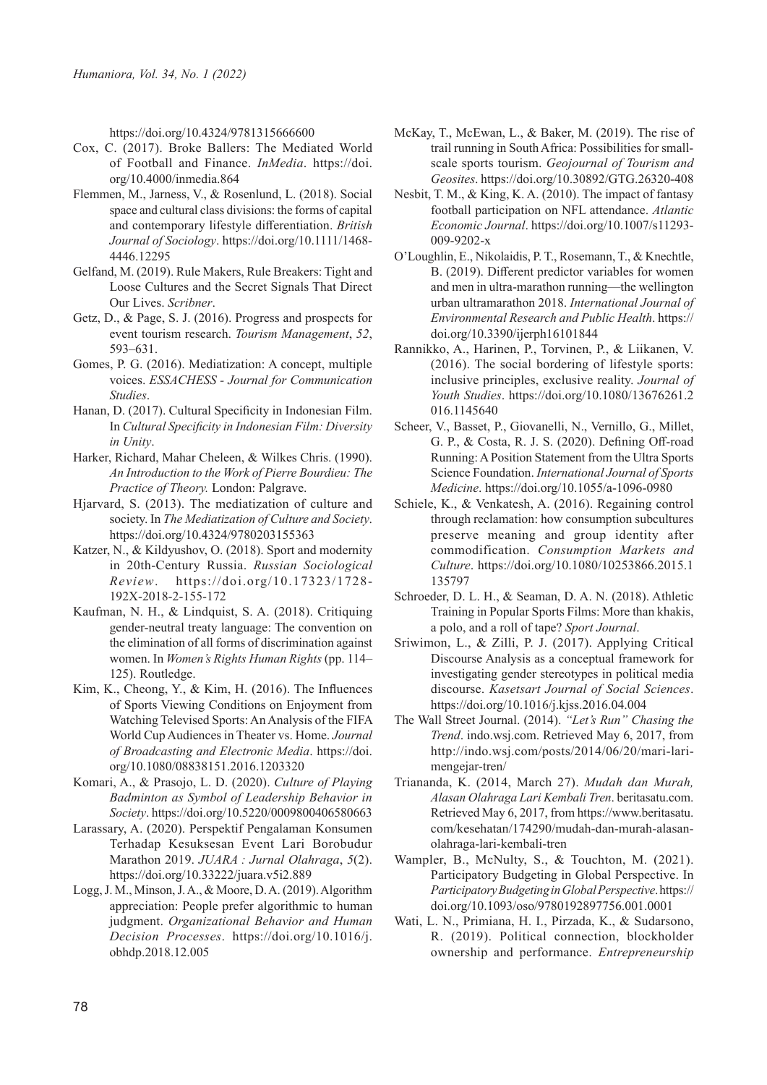https://doi.org/10.4324/9781315666600

- Cox, C. (2017). Broke Ballers: The Mediated World of Football and Finance. *InMedia*. https://doi. org/10.4000/inmedia.864
- Flemmen, M., Jarness, V., & Rosenlund, L. (2018). Social space and cultural class divisions: the forms of capital and contemporary lifestyle differentiation. *British Journal of Sociology*. https://doi.org/10.1111/1468- 4446.12295
- Gelfand, M. (2019). Rule Makers, Rule Breakers: Tight and Loose Cultures and the Secret Signals That Direct Our Lives. *Scribner*.
- Getz, D., & Page, S. J. (2016). Progress and prospects for event tourism research. *Tourism Management*, *52*, 593–631.
- Gomes, P. G. (2016). Mediatization: A concept, multiple voices. *ESSACHESS - Journal for Communication Studies*.
- Hanan, D. (2017). Cultural Specificity in Indonesian Film. In *Cultural Specificity in Indonesian Film: Diversity in Unity*.
- Harker, Richard, Mahar Cheleen, & Wilkes Chris. (1990). *An Introduction to the Work of Pierre Bourdieu: The Practice of Theory.* London: Palgrave.
- Hjarvard, S. (2013). The mediatization of culture and society. In *The Mediatization of Culture and Society*. https://doi.org/10.4324/9780203155363
- Katzer, N., & Kildyushov, O. (2018). Sport and modernity in 20th-Century Russia. *Russian Sociological Review*. https://doi.org/10.17323/1728- 192X-2018-2-155-172
- Kaufman, N. H., & Lindquist, S. A. (2018). Critiquing gender-neutral treaty language: The convention on the elimination of all forms of discrimination against women. In *Women's Rights Human Rights* (pp. 114– 125). Routledge.
- Kim, K., Cheong, Y., & Kim, H. (2016). The Influences of Sports Viewing Conditions on Enjoyment from Watching Televised Sports: An Analysis of the FIFA World Cup Audiences in Theater vs. Home. *Journal of Broadcasting and Electronic Media*. https://doi. org/10.1080/08838151.2016.1203320
- Komari, A., & Prasojo, L. D. (2020). *Culture of Playing Badminton as Symbol of Leadership Behavior in Society*. https://doi.org/10.5220/0009800406580663
- Larassary, A. (2020). Perspektif Pengalaman Konsumen Terhadap Kesuksesan Event Lari Borobudur Marathon 2019. *JUARA : Jurnal Olahraga*, *5*(2). https://doi.org/10.33222/juara.v5i2.889
- Logg, J. M., Minson, J. A., & Moore, D. A. (2019). Algorithm appreciation: People prefer algorithmic to human judgment. *Organizational Behavior and Human Decision Processes*. https://doi.org/10.1016/j. obhdp.2018.12.005
- McKay, T., McEwan, L., & Baker, M. (2019). The rise of trail running in South Africa: Possibilities for smallscale sports tourism. *Geojournal of Tourism and Geosites*. https://doi.org/10.30892/GTG.26320-408
- Nesbit, T. M., & King, K. A. (2010). The impact of fantasy football participation on NFL attendance. *Atlantic Economic Journal*. https://doi.org/10.1007/s11293- 009-9202-x
- O'Loughlin, E., Nikolaidis, P. T., Rosemann, T., & Knechtle, B. (2019). Different predictor variables for women and men in ultra-marathon running—the wellington urban ultramarathon 2018. *International Journal of Environmental Research and Public Health*. https:// doi.org/10.3390/ijerph16101844
- Rannikko, A., Harinen, P., Torvinen, P., & Liikanen, V. (2016). The social bordering of lifestyle sports: inclusive principles, exclusive reality. *Journal of Youth Studies*. https://doi.org/10.1080/13676261.2 016.1145640
- Scheer, V., Basset, P., Giovanelli, N., Vernillo, G., Millet, G. P., & Costa, R. J. S. (2020). Defining Off-road Running: A Position Statement from the Ultra Sports Science Foundation. *International Journal of Sports Medicine*. https://doi.org/10.1055/a-1096-0980
- Schiele, K., & Venkatesh, A. (2016). Regaining control through reclamation: how consumption subcultures preserve meaning and group identity after commodification. *Consumption Markets and Culture*. https://doi.org/10.1080/10253866.2015.1 135797
- Schroeder, D. L. H., & Seaman, D. A. N. (2018). Athletic Training in Popular Sports Films: More than khakis, a polo, and a roll of tape? *Sport Journal*.
- Sriwimon, L., & Zilli, P. J. (2017). Applying Critical Discourse Analysis as a conceptual framework for investigating gender stereotypes in political media discourse. *Kasetsart Journal of Social Sciences*. https://doi.org/10.1016/j.kjss.2016.04.004
- The Wall Street Journal. (2014). *"Let's Run" Chasing the Trend*. indo.wsj.com. Retrieved May 6, 2017, from http://indo.wsj.com/posts/2014/06/20/mari-larimengejar-tren/
- Triananda, K. (2014, March 27). *Mudah dan Murah, Alasan Olahraga Lari Kembali Tren*. beritasatu.com. Retrieved May 6, 2017, from https://www.beritasatu. com/kesehatan/174290/mudah-dan-murah-alasanolahraga-lari-kembali-tren
- Wampler, B., McNulty, S., & Touchton, M. (2021). Participatory Budgeting in Global Perspective. In *Participatory Budgeting in Global Perspective*. https:// doi.org/10.1093/oso/9780192897756.001.0001
- Wati, L. N., Primiana, H. I., Pirzada, K., & Sudarsono, R. (2019). Political connection, blockholder ownership and performance. *Entrepreneurship*